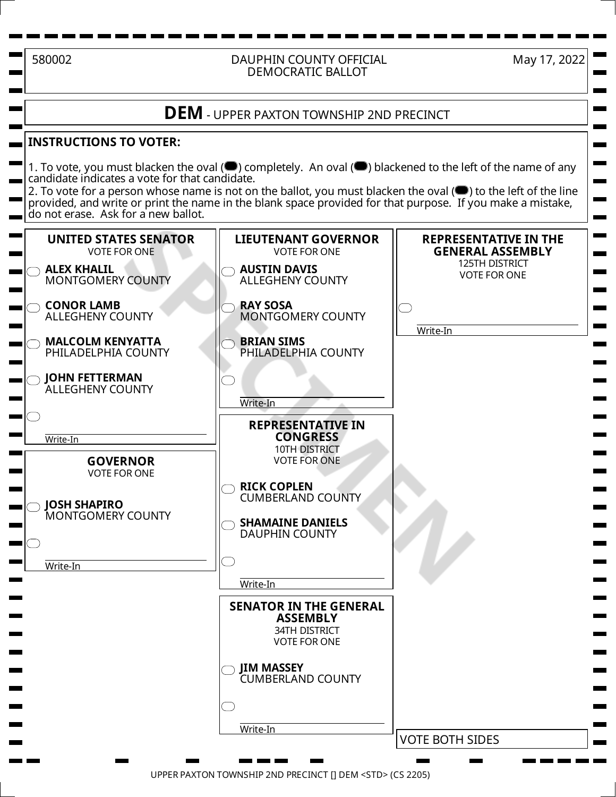## 580002 DAUPHIN COUNTY OFFICIAL DEMOCRATIC BALLOT

May 17, 2022

## **DEM** - UPPER PAXTON TOWNSHIP 2ND PRECINCT

## **INSTRUCTIONS TO VOTER:**

1. To vote, you must blacken the oval ( $\blacksquare$ ) completely. An oval ( $\blacksquare$ ) blackened to the left of the name of any candidate indicates a vote for that candidate.

2. To vote for a person whose name is not on the ballot, you must blacken the oval  $($ **)** to the left of the line provided, and write or print the name in the blank space provided for that purpose. If you make a mistake, do not erase. Ask for a new ballot.